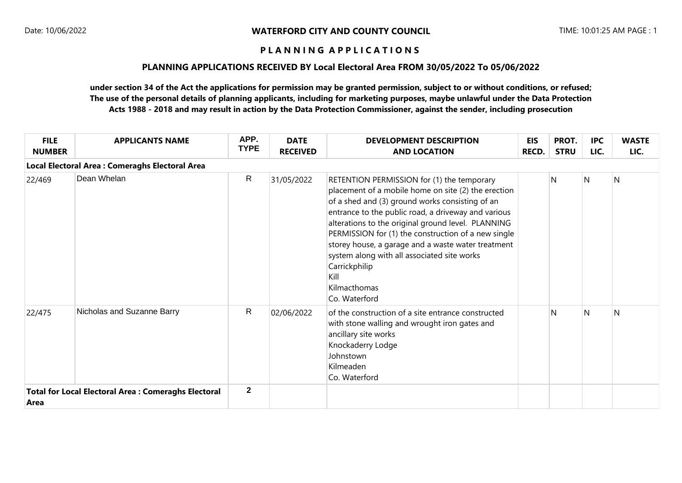### **PLANNING APPLICATIONS RECEIVED BY Local Electoral Area FROM 30/05/2022 To 05/06/2022**

| <b>FILE</b><br><b>NUMBER</b> | <b>APPLICANTS NAME</b>                                     | APP.<br><b>TYPE</b> | <b>DATE</b><br><b>RECEIVED</b> | <b>DEVELOPMENT DESCRIPTION</b><br><b>AND LOCATION</b>                                                                                                                                                                                                                                                                                                                                                                                                                                   | <b>EIS</b><br><b>RECD.</b> | PROT.<br><b>STRU</b> | <b>IPC</b><br>LIC. | <b>WASTE</b><br>LIC. |
|------------------------------|------------------------------------------------------------|---------------------|--------------------------------|-----------------------------------------------------------------------------------------------------------------------------------------------------------------------------------------------------------------------------------------------------------------------------------------------------------------------------------------------------------------------------------------------------------------------------------------------------------------------------------------|----------------------------|----------------------|--------------------|----------------------|
|                              | <b>Local Electoral Area: Comeraghs Electoral Area</b>      |                     |                                |                                                                                                                                                                                                                                                                                                                                                                                                                                                                                         |                            |                      |                    |                      |
| 22/469                       | Dean Whelan                                                | R                   | 31/05/2022                     | RETENTION PERMISSION for (1) the temporary<br>placement of a mobile home on site (2) the erection<br>of a shed and (3) ground works consisting of an<br>entrance to the public road, a driveway and various<br>alterations to the original ground level. PLANNING<br>PERMISSION for (1) the construction of a new single<br>storey house, a garage and a waste water treatment<br>system along with all associated site works<br>Carrickphilip<br>Kill<br>Kilmacthomas<br>Co. Waterford |                            | N                    | $\mathsf{N}$       | N                    |
| 22/475                       | Nicholas and Suzanne Barry                                 | $\mathsf{R}$        | 02/06/2022                     | of the construction of a site entrance constructed<br>with stone walling and wrought iron gates and<br>ancillary site works<br>Knockaderry Lodge<br>Johnstown<br>Kilmeaden<br>Co. Waterford                                                                                                                                                                                                                                                                                             |                            | N                    | N                  | N                    |
| Area                         | <b>Total for Local Electoral Area: Comeraghs Electoral</b> | $\mathbf{2}$        |                                |                                                                                                                                                                                                                                                                                                                                                                                                                                                                                         |                            |                      |                    |                      |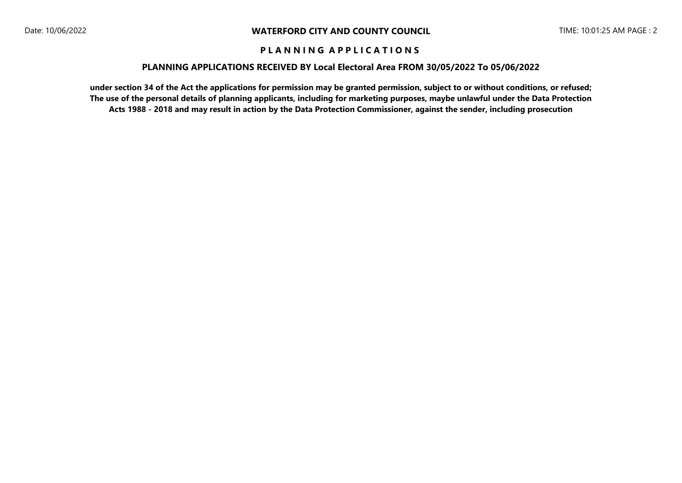#### **PLANNING APPLICATIONS RECEIVED BY Local Electoral Area FROM 30/05/2022 To 05/06/2022**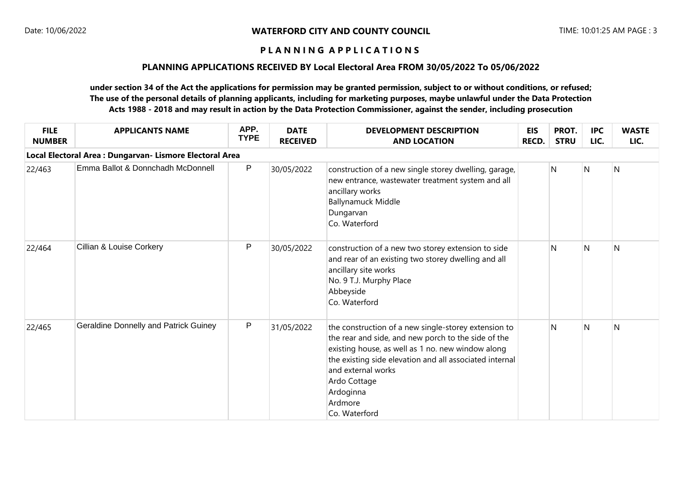### **PLANNING APPLICATIONS RECEIVED BY Local Electoral Area FROM 30/05/2022 To 05/06/2022**

| <b>FILE</b><br><b>NUMBER</b> | <b>APPLICANTS NAME</b>                                   | APP.<br><b>TYPE</b> | <b>DATE</b><br><b>RECEIVED</b> | <b>DEVELOPMENT DESCRIPTION</b><br><b>AND LOCATION</b>                                                                                                                                                                                                                                                      | <b>EIS</b><br><b>RECD.</b> | PROT.<br><b>STRU</b> | <b>IPC</b><br>LIC. | <b>WASTE</b><br>LIC. |
|------------------------------|----------------------------------------------------------|---------------------|--------------------------------|------------------------------------------------------------------------------------------------------------------------------------------------------------------------------------------------------------------------------------------------------------------------------------------------------------|----------------------------|----------------------|--------------------|----------------------|
|                              | Local Electoral Area : Dungarvan- Lismore Electoral Area |                     |                                |                                                                                                                                                                                                                                                                                                            |                            |                      |                    |                      |
| 22/463                       | Emma Ballot & Donnchadh McDonnell                        | P                   | 30/05/2022                     | construction of a new single storey dwelling, garage,<br>new entrance, wastewater treatment system and all<br>ancillary works<br><b>Ballynamuck Middle</b><br>Dungarvan<br>Co. Waterford                                                                                                                   |                            | N                    | $\mathsf{N}$       | $\mathsf{N}$         |
| 22/464                       | Cillian & Louise Corkery                                 | P                   | 30/05/2022                     | construction of a new two storey extension to side<br>and rear of an existing two storey dwelling and all<br>ancillary site works<br>No. 9 T.J. Murphy Place<br>Abbeyside<br>Co. Waterford                                                                                                                 |                            | N                    | N                  | N                    |
| 22/465                       | <b>Geraldine Donnelly and Patrick Guiney</b>             | $\mathsf{P}$        | 31/05/2022                     | the construction of a new single-storey extension to<br>the rear and side, and new porch to the side of the<br>existing house, as well as 1 no. new window along<br>the existing side elevation and all associated internal<br>and external works<br>Ardo Cottage<br>Ardoginna<br>Ardmore<br>Co. Waterford |                            | N                    | N                  | N                    |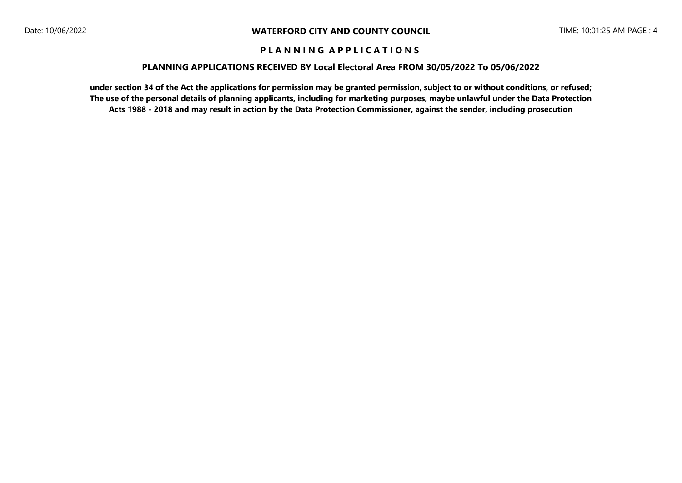#### **PLANNING APPLICATIONS RECEIVED BY Local Electoral Area FROM 30/05/2022 To 05/06/2022**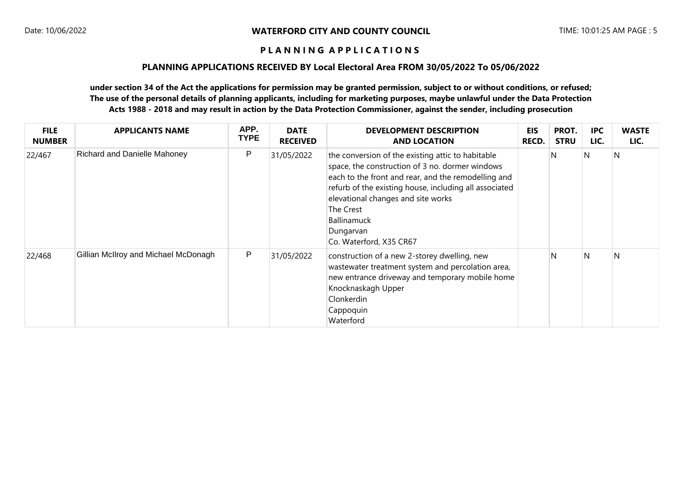#### **PLANNING APPLICATIONS RECEIVED BY Local Electoral Area FROM 30/05/2022 To 05/06/2022**

| <b>FILE</b><br><b>NUMBER</b> | <b>APPLICANTS NAME</b>               | APP.<br><b>TYPE</b> | <b>DATE</b><br><b>RECEIVED</b> | <b>DEVELOPMENT DESCRIPTION</b><br><b>AND LOCATION</b>                                                                                                                                                                                                                                                                                  | <b>EIS</b><br>RECD. | PROT.<br><b>STRU</b> | <b>IPC</b><br>LIC. | <b>WASTE</b><br>LIC. |
|------------------------------|--------------------------------------|---------------------|--------------------------------|----------------------------------------------------------------------------------------------------------------------------------------------------------------------------------------------------------------------------------------------------------------------------------------------------------------------------------------|---------------------|----------------------|--------------------|----------------------|
| 22/467                       | <b>Richard and Danielle Mahoney</b>  | P                   | 31/05/2022                     | the conversion of the existing attic to habitable<br>space, the construction of 3 no. dormer windows<br>each to the front and rear, and the remodelling and<br>refurb of the existing house, including all associated<br>elevational changes and site works<br>The Crest<br><b>Ballinamuck</b><br>Dungarvan<br>Co. Waterford, X35 CR67 |                     | 'N                   | N                  | N                    |
| 22/468                       | Gillian McIlroy and Michael McDonagh | P                   | 31/05/2022                     | construction of a new 2-storey dwelling, new<br>wastewater treatment system and percolation area,<br>new entrance driveway and temporary mobile home<br>Knocknaskagh Upper<br>Clonkerdin<br>Cappoquin<br>Waterford                                                                                                                     |                     | N                    | N                  | N                    |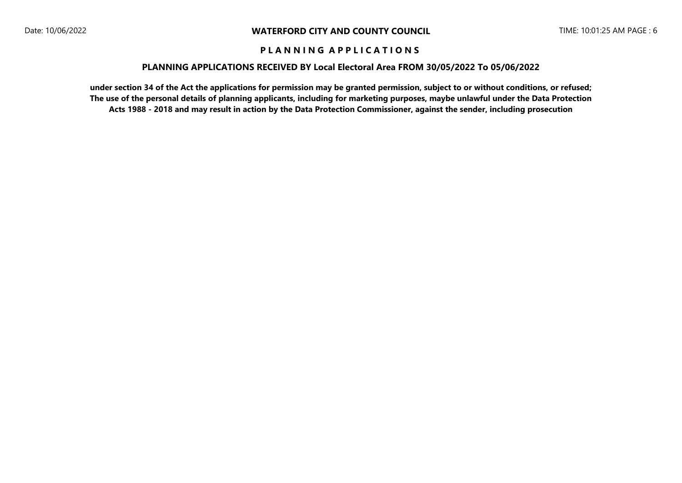### **PLANNING APPLICATIONS RECEIVED BY Local Electoral Area FROM 30/05/2022 To 05/06/2022**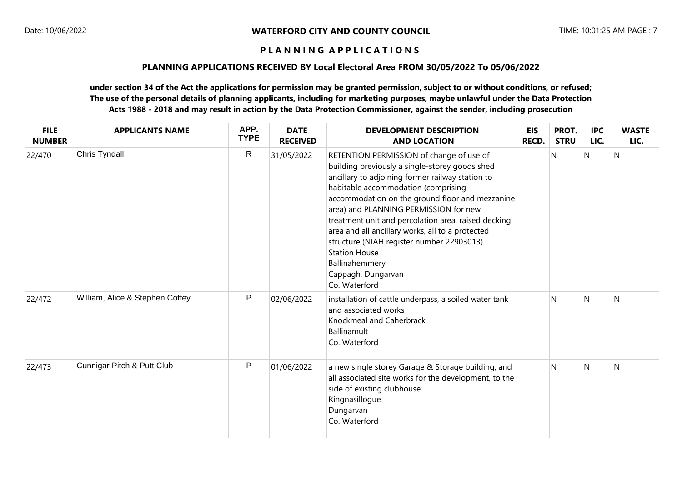## **PLANNING APPLICATIONS RECEIVED BY Local Electoral Area FROM 30/05/2022 To 05/06/2022**

| <b>FILE</b><br><b>NUMBER</b> | <b>APPLICANTS NAME</b>          | APP.<br><b>TYPE</b> | <b>DATE</b><br><b>RECEIVED</b> | <b>DEVELOPMENT DESCRIPTION</b><br><b>AND LOCATION</b>                                                                                                                                                                                                                                                                                                                                                                                                                                                                      | <b>EIS</b><br><b>RECD.</b> | PROT.<br><b>STRU</b> | <b>IPC</b><br>LIC. | <b>WASTE</b><br>LIC. |
|------------------------------|---------------------------------|---------------------|--------------------------------|----------------------------------------------------------------------------------------------------------------------------------------------------------------------------------------------------------------------------------------------------------------------------------------------------------------------------------------------------------------------------------------------------------------------------------------------------------------------------------------------------------------------------|----------------------------|----------------------|--------------------|----------------------|
| 22/470                       | Chris Tyndall                   | $\mathsf{R}$        | 31/05/2022                     | RETENTION PERMISSION of change of use of<br>building previously a single-storey goods shed<br>ancillary to adjoining former railway station to<br>habitable accommodation (comprising<br>accommodation on the ground floor and mezzanine<br>area) and PLANNING PERMISSION for new<br>treatment unit and percolation area, raised decking<br>area and all ancillary works, all to a protected<br>structure (NIAH register number 22903013)<br><b>Station House</b><br>Ballinahemmery<br>Cappagh, Dungarvan<br>Co. Waterford |                            | N                    | N                  | N                    |
| 22/472                       | William, Alice & Stephen Coffey | $\mathsf{P}$        | 02/06/2022                     | installation of cattle underpass, a soiled water tank<br>and associated works<br>Knockmeal and Caherbrack<br>Ballinamult<br>Co. Waterford                                                                                                                                                                                                                                                                                                                                                                                  |                            | N                    | N                  | N                    |
| 22/473                       | Cunnigar Pitch & Putt Club      | $\mathsf{P}$        | 01/06/2022                     | a new single storey Garage & Storage building, and<br>all associated site works for the development, to the<br>side of existing clubhouse<br>Ringnasillogue<br>Dungarvan<br>Co. Waterford                                                                                                                                                                                                                                                                                                                                  |                            | N                    | N                  | N                    |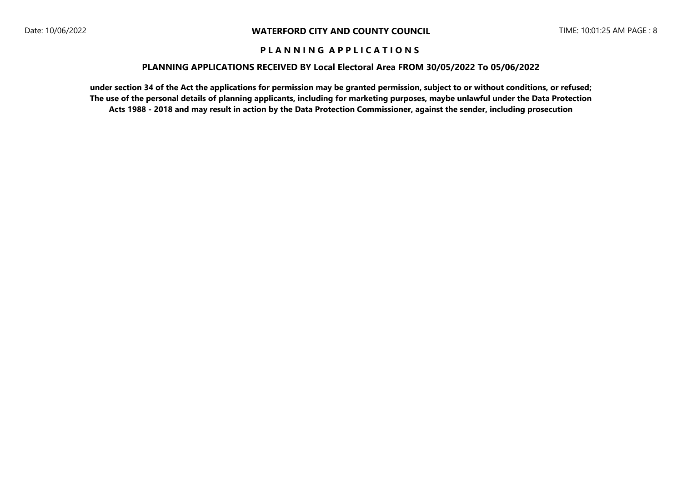#### **PLANNING APPLICATIONS RECEIVED BY Local Electoral Area FROM 30/05/2022 To 05/06/2022**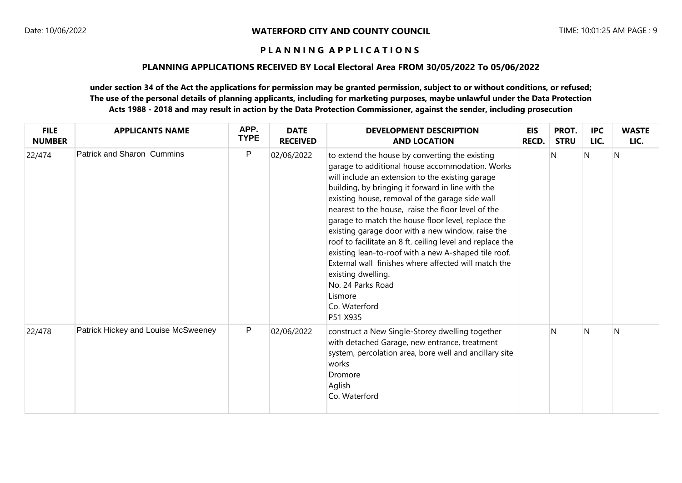### **PLANNING APPLICATIONS RECEIVED BY Local Electoral Area FROM 30/05/2022 To 05/06/2022**

| <b>FILE</b><br><b>NUMBER</b> | <b>APPLICANTS NAME</b>              | APP.<br><b>TYPE</b> | <b>DATE</b><br><b>RECEIVED</b> | <b>DEVELOPMENT DESCRIPTION</b><br><b>AND LOCATION</b>                                                                                                                                                                                                                                                                                                                                                                                                                                                                                                                                                                                                                                          | <b>EIS</b><br>RECD. | PROT.<br><b>STRU</b> | <b>IPC</b><br>LIC. | <b>WASTE</b><br>LIC. |
|------------------------------|-------------------------------------|---------------------|--------------------------------|------------------------------------------------------------------------------------------------------------------------------------------------------------------------------------------------------------------------------------------------------------------------------------------------------------------------------------------------------------------------------------------------------------------------------------------------------------------------------------------------------------------------------------------------------------------------------------------------------------------------------------------------------------------------------------------------|---------------------|----------------------|--------------------|----------------------|
| 22/474                       | <b>Patrick and Sharon Cummins</b>   | $\mathsf{P}$        | 02/06/2022                     | to extend the house by converting the existing<br>garage to additional house accommodation. Works<br>will include an extension to the existing garage<br>building, by bringing it forward in line with the<br>existing house, removal of the garage side wall<br>nearest to the house, raise the floor level of the<br>garage to match the house floor level, replace the<br>existing garage door with a new window, raise the<br>roof to facilitate an 8 ft. ceiling level and replace the<br>existing lean-to-roof with a new A-shaped tile roof.<br>External wall finishes where affected will match the<br>existing dwelling.<br>No. 24 Parks Road<br>Lismore<br>Co. Waterford<br>P51 X935 |                     | N                    | N                  | N                    |
| 22/478                       | Patrick Hickey and Louise McSweeney | $\mathsf{P}$        | 02/06/2022                     | construct a New Single-Storey dwelling together<br>with detached Garage, new entrance, treatment<br>system, percolation area, bore well and ancillary site<br>works<br>Dromore<br>Aglish<br>Co. Waterford                                                                                                                                                                                                                                                                                                                                                                                                                                                                                      |                     | N                    | N                  | N                    |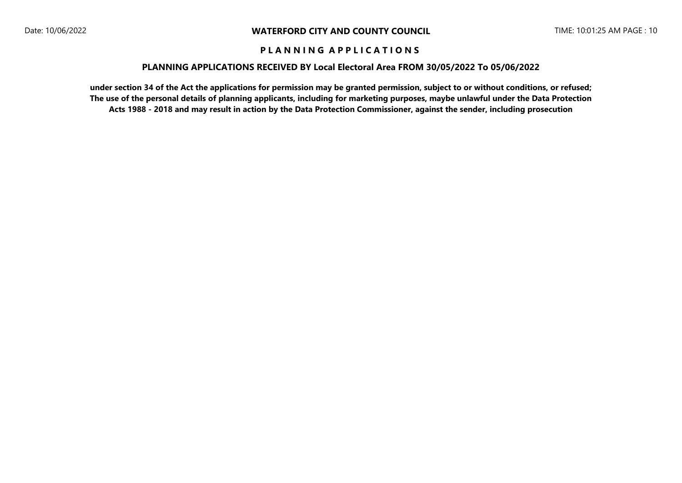### **PLANNING APPLICATIONS RECEIVED BY Local Electoral Area FROM 30/05/2022 To 05/06/2022**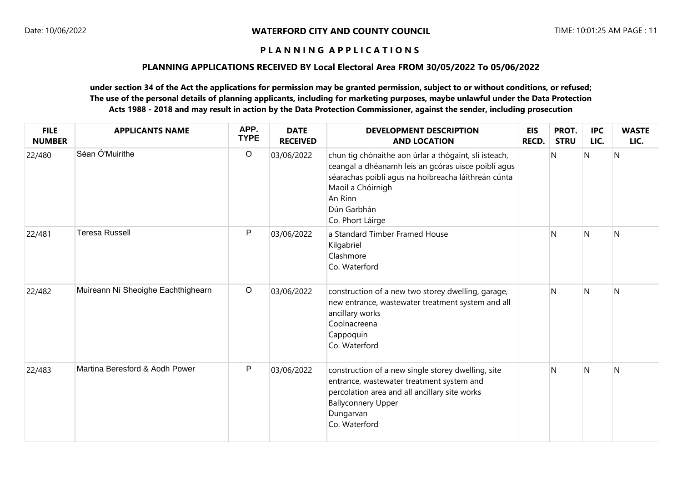## **PLANNING APPLICATIONS RECEIVED BY Local Electoral Area FROM 30/05/2022 To 05/06/2022**

| <b>FILE</b><br><b>NUMBER</b> | <b>APPLICANTS NAME</b>             | APP.<br><b>TYPE</b> | <b>DATE</b><br><b>RECEIVED</b> | <b>DEVELOPMENT DESCRIPTION</b><br><b>AND LOCATION</b>                                                                                                                                                                                  | <b>EIS</b><br><b>RECD.</b> | PROT.<br><b>STRU</b> | <b>IPC</b><br>LIC. | <b>WASTE</b><br>LIC. |
|------------------------------|------------------------------------|---------------------|--------------------------------|----------------------------------------------------------------------------------------------------------------------------------------------------------------------------------------------------------------------------------------|----------------------------|----------------------|--------------------|----------------------|
| 22/480                       | Séan Ó'Muirithe                    | $\mathsf O$         | 03/06/2022                     | chun tig chónaithe aon úrlar a thógaint, slí isteach,<br>ceangal a dhéanamh leis an gcóras uisce poiblí agus<br>séarachas poiblí agus na hoibreacha láithreán cúnta<br>Maoil a Chóirnigh<br>An Rinn<br>Dún Garbhán<br>Co. Phort Láirge |                            | N                    | N                  | N                    |
| 22/481                       | <b>Teresa Russell</b>              | ${\sf P}$           | 03/06/2022                     | a Standard Timber Framed House<br>Kilgabriel<br>Clashmore<br>Co. Waterford                                                                                                                                                             |                            | N                    | N                  | N                    |
| 22/482                       | Muireann Ní Sheoighe Eachthighearn | $\mathsf O$         | 03/06/2022                     | construction of a new two storey dwelling, garage,<br>new entrance, wastewater treatment system and all<br>ancillary works<br>Coolnacreena<br>Cappoquin<br>Co. Waterford                                                               |                            | N                    | N                  | N                    |
| 22/483                       | Martina Beresford & Aodh Power     | ${\sf P}$           | 03/06/2022                     | construction of a new single storey dwelling, site<br>entrance, wastewater treatment system and<br>percolation area and all ancillary site works<br><b>Ballyconnery Upper</b><br>Dungarvan<br>Co. Waterford                            |                            | N                    | N                  | N                    |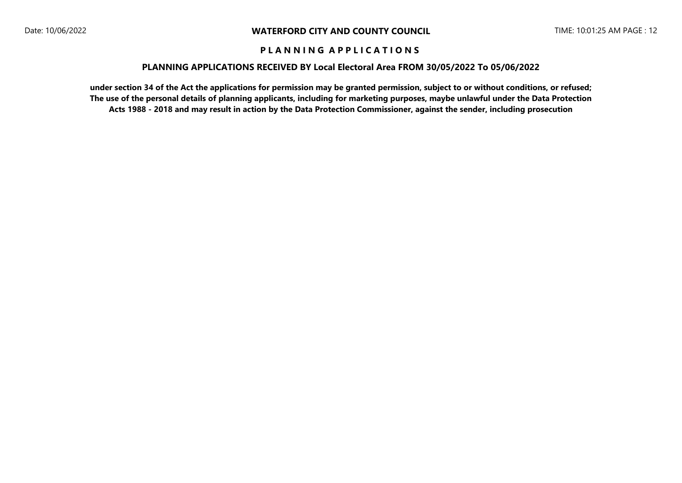#### **PLANNING APPLICATIONS RECEIVED BY Local Electoral Area FROM 30/05/2022 To 05/06/2022**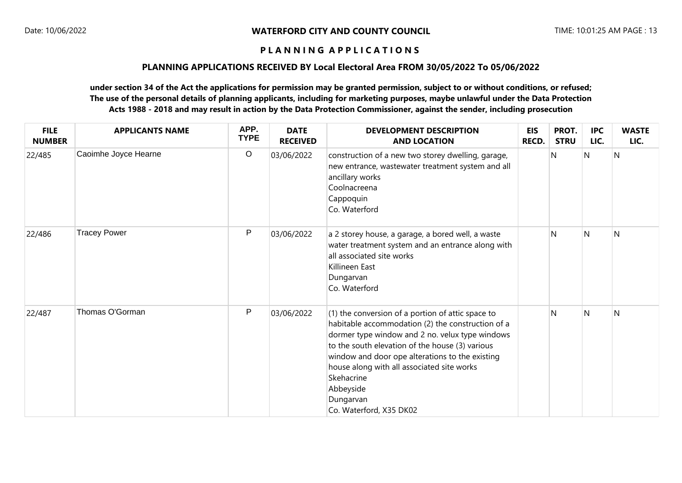### **PLANNING APPLICATIONS RECEIVED BY Local Electoral Area FROM 30/05/2022 To 05/06/2022**

| <b>FILE</b><br><b>NUMBER</b> | <b>APPLICANTS NAME</b> | APP.<br><b>TYPE</b> | <b>DATE</b><br><b>RECEIVED</b> | <b>DEVELOPMENT DESCRIPTION</b><br><b>AND LOCATION</b>                                                                                                                                                                                                                                                                                                                            | <b>EIS</b><br>RECD. | PROT.<br><b>STRU</b> | <b>IPC</b><br>LIC. | <b>WASTE</b><br>LIC. |
|------------------------------|------------------------|---------------------|--------------------------------|----------------------------------------------------------------------------------------------------------------------------------------------------------------------------------------------------------------------------------------------------------------------------------------------------------------------------------------------------------------------------------|---------------------|----------------------|--------------------|----------------------|
| 22/485                       | Caoimhe Joyce Hearne   | $\circ$             | 03/06/2022                     | construction of a new two storey dwelling, garage,<br>new entrance, wastewater treatment system and all<br>ancillary works<br>Coolnacreena<br>Cappoquin<br>Co. Waterford                                                                                                                                                                                                         |                     | N                    | N                  | $\mathsf{N}$         |
| 22/486                       | <b>Tracey Power</b>    | $\mathsf{P}$        | 03/06/2022                     | a 2 storey house, a garage, a bored well, a waste<br>water treatment system and an entrance along with<br>all associated site works<br>Killineen East<br>Dungarvan<br>Co. Waterford                                                                                                                                                                                              |                     | $\mathsf{N}$         | $\mathsf{N}$       | $\mathsf{N}$         |
| 22/487                       | Thomas O'Gorman        | $\mathsf{P}$        | 03/06/2022                     | (1) the conversion of a portion of attic space to<br>habitable accommodation (2) the construction of a<br>dormer type window and 2 no. velux type windows<br>to the south elevation of the house (3) various<br>window and door ope alterations to the existing<br>house along with all associated site works<br>Skehacrine<br>Abbeyside<br>Dungarvan<br>Co. Waterford, X35 DK02 |                     | N                    | $\mathsf{N}$       | N                    |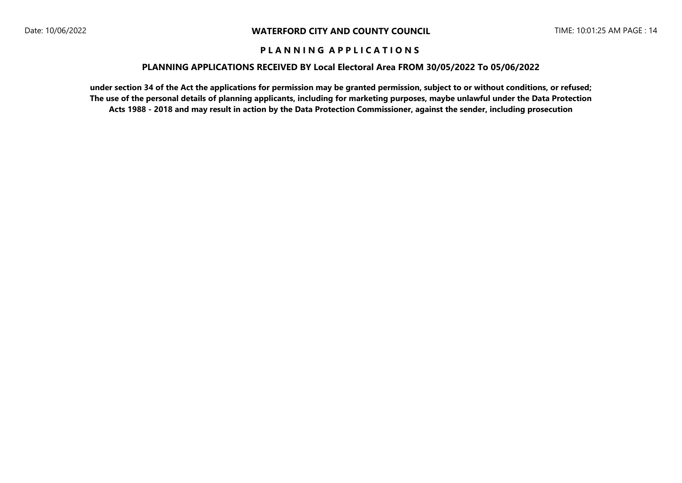### **PLANNING APPLICATIONS RECEIVED BY Local Electoral Area FROM 30/05/2022 To 05/06/2022**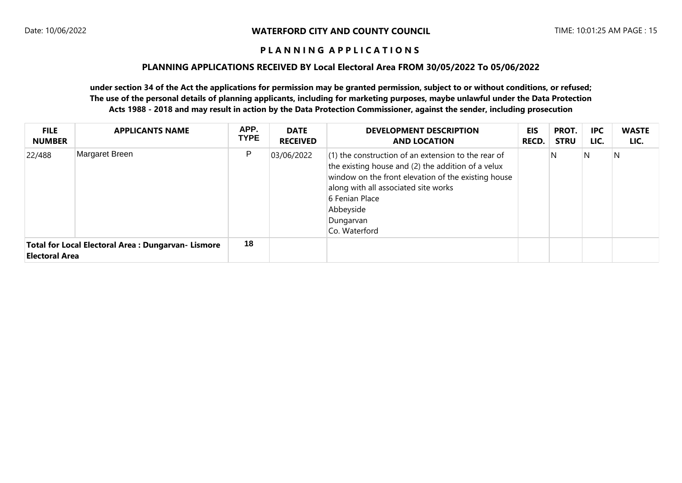### **PLANNING APPLICATIONS RECEIVED BY Local Electoral Area FROM 30/05/2022 To 05/06/2022**

| <b>FILE</b><br><b>NUMBER</b> | <b>APPLICANTS NAME</b>                                    | APP.<br><b>TYPE</b> | <b>DATE</b><br><b>RECEIVED</b> | <b>DEVELOPMENT DESCRIPTION</b><br><b>AND LOCATION</b>                                                                                                                                                                                                                   | <b>EIS</b><br><b>RECD.</b> | PROT.<br><b>STRU</b> | <b>IPC</b><br>LIC. | <b>WASTE</b><br>LIC. |
|------------------------------|-----------------------------------------------------------|---------------------|--------------------------------|-------------------------------------------------------------------------------------------------------------------------------------------------------------------------------------------------------------------------------------------------------------------------|----------------------------|----------------------|--------------------|----------------------|
| 22/488                       | Margaret Breen                                            | P                   | 03/06/2022                     | $(1)$ the construction of an extension to the rear of<br>the existing house and (2) the addition of a velux<br>window on the front elevation of the existing house<br>along with all associated site works<br>6 Fenian Place<br>Abbeyside<br>Dungarvan<br>Co. Waterford |                            | N                    | N                  | N                    |
| <b>Electoral Area</b>        | <b>Total for Local Electoral Area: Dungarvan- Lismore</b> | 18                  |                                |                                                                                                                                                                                                                                                                         |                            |                      |                    |                      |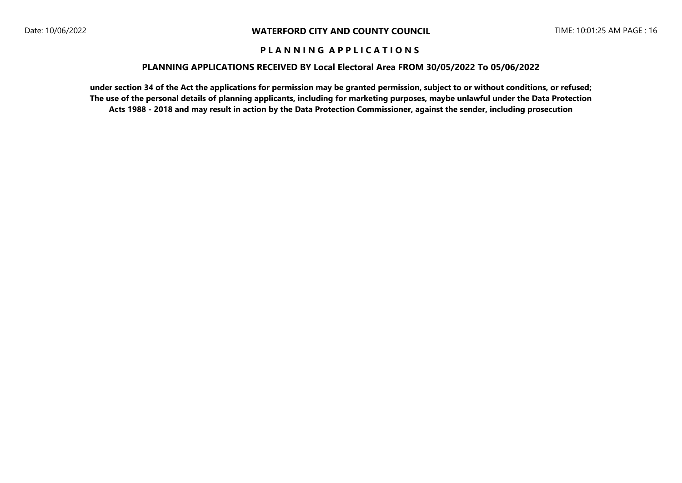### **PLANNING APPLICATIONS RECEIVED BY Local Electoral Area FROM 30/05/2022 To 05/06/2022**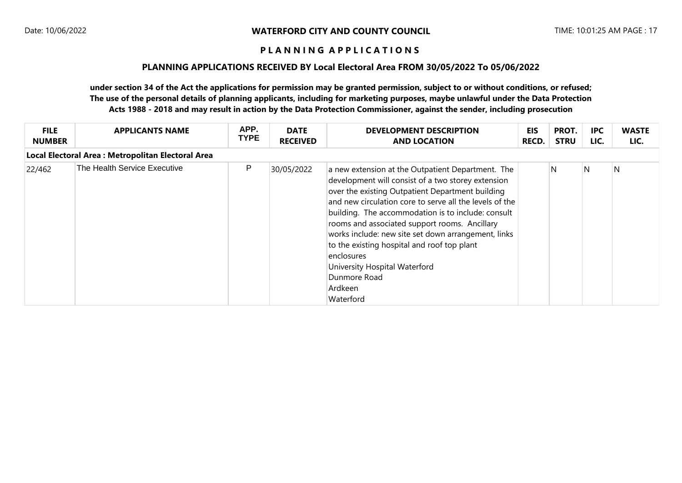### **PLANNING APPLICATIONS RECEIVED BY Local Electoral Area FROM 30/05/2022 To 05/06/2022**

| <b>FILE</b><br><b>NUMBER</b> | <b>APPLICANTS NAME</b>                             | APP.<br><b>TYPE</b> | <b>DATE</b><br><b>RECEIVED</b> | <b>DEVELOPMENT DESCRIPTION</b><br><b>AND LOCATION</b>                                                                                                                                                                                                                                                                                                                                                                                                                                                                      | <b>EIS</b><br>RECD. | PROT.<br><b>STRU</b> | <b>IPC</b><br>LIC. | <b>WASTE</b><br>LIC. |
|------------------------------|----------------------------------------------------|---------------------|--------------------------------|----------------------------------------------------------------------------------------------------------------------------------------------------------------------------------------------------------------------------------------------------------------------------------------------------------------------------------------------------------------------------------------------------------------------------------------------------------------------------------------------------------------------------|---------------------|----------------------|--------------------|----------------------|
|                              | Local Electoral Area : Metropolitan Electoral Area |                     |                                |                                                                                                                                                                                                                                                                                                                                                                                                                                                                                                                            |                     |                      |                    |                      |
| 22/462                       | The Health Service Executive                       | P                   | 30/05/2022                     | a new extension at the Outpatient Department. The<br>development will consist of a two storey extension<br>over the existing Outpatient Department building<br>and new circulation core to serve all the levels of the<br>building. The accommodation is to include: consult<br>rooms and associated support rooms. Ancillary<br>works include: new site set down arrangement, links<br>to the existing hospital and roof top plant<br>enclosures<br>University Hospital Waterford<br>Dunmore Road<br>Ardkeen<br>Waterford |                     | N                    | N                  | N                    |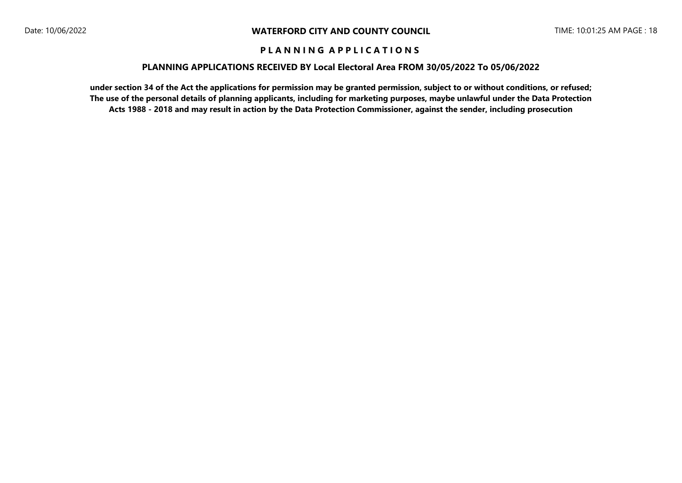### **PLANNING APPLICATIONS RECEIVED BY Local Electoral Area FROM 30/05/2022 To 05/06/2022**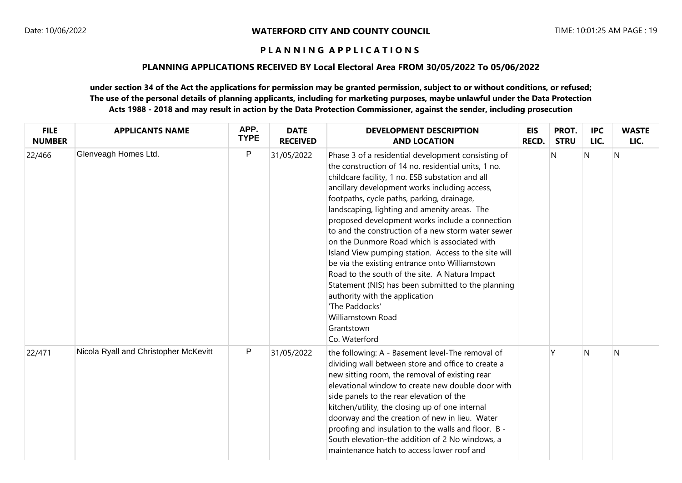### **PLANNING APPLICATIONS RECEIVED BY Local Electoral Area FROM 30/05/2022 To 05/06/2022**

| <b>FILE</b><br><b>NUMBER</b> | <b>APPLICANTS NAME</b>                | APP.<br><b>TYPE</b> | <b>DATE</b><br><b>RECEIVED</b> | <b>DEVELOPMENT DESCRIPTION</b><br><b>AND LOCATION</b>                                                                                                                                                                                                                                                                                                                                                                                                                                                                                                                                                                                                                                                                                                                                           | <b>EIS</b><br><b>RECD.</b> | PROT.<br><b>STRU</b> | <b>IPC</b><br>LIC. | <b>WASTE</b><br>LIC. |
|------------------------------|---------------------------------------|---------------------|--------------------------------|-------------------------------------------------------------------------------------------------------------------------------------------------------------------------------------------------------------------------------------------------------------------------------------------------------------------------------------------------------------------------------------------------------------------------------------------------------------------------------------------------------------------------------------------------------------------------------------------------------------------------------------------------------------------------------------------------------------------------------------------------------------------------------------------------|----------------------------|----------------------|--------------------|----------------------|
| 22/466                       | Glenveagh Homes Ltd.                  | $\mathsf{P}$        | 31/05/2022                     | Phase 3 of a residential development consisting of<br>the construction of 14 no. residential units, 1 no.<br>childcare facility, 1 no. ESB substation and all<br>ancillary development works including access,<br>footpaths, cycle paths, parking, drainage,<br>landscaping, lighting and amenity areas. The<br>proposed development works include a connection<br>to and the construction of a new storm water sewer<br>on the Dunmore Road which is associated with<br>Island View pumping station. Access to the site will<br>be via the existing entrance onto Williamstown<br>Road to the south of the site. A Natura Impact<br>Statement (NIS) has been submitted to the planning<br>authority with the application<br>'The Paddocks'<br>Williamstown Road<br>Grantstown<br>Co. Waterford |                            | $\mathsf{N}$         | N                  | N                    |
| 22/471                       | Nicola Ryall and Christopher McKevitt | P                   | 31/05/2022                     | the following: A - Basement level-The removal of<br>dividing wall between store and office to create a<br>new sitting room, the removal of existing rear<br>elevational window to create new double door with<br>side panels to the rear elevation of the<br>kitchen/utility, the closing up of one internal<br>doorway and the creation of new in lieu. Water<br>proofing and insulation to the walls and floor. B -<br>South elevation-the addition of 2 No windows, a<br>maintenance hatch to access lower roof and                                                                                                                                                                                                                                                                          |                            | Y                    | $\mathsf{N}$       | N                    |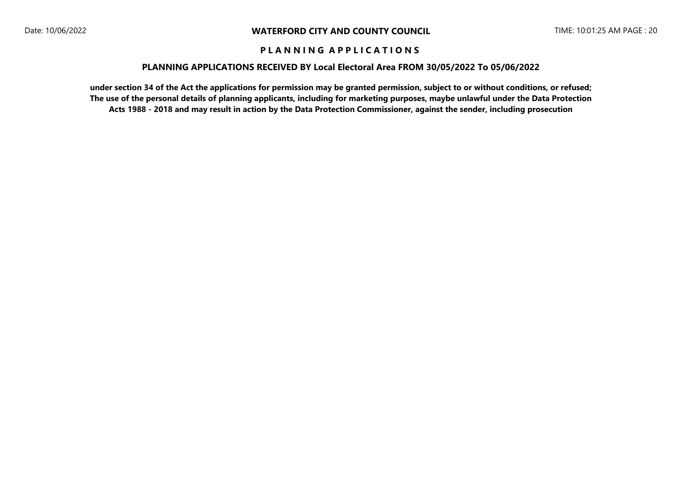### **PLANNING APPLICATIONS RECEIVED BY Local Electoral Area FROM 30/05/2022 To 05/06/2022**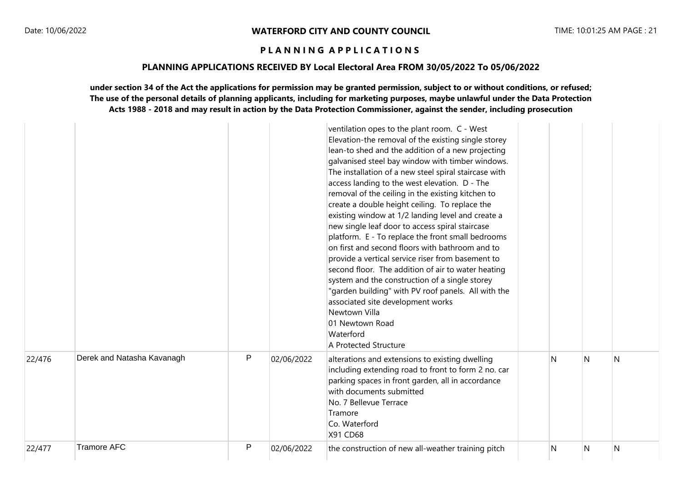## **PLANNING APPLICATIONS RECEIVED BY Local Electoral Area FROM 30/05/2022 To 05/06/2022**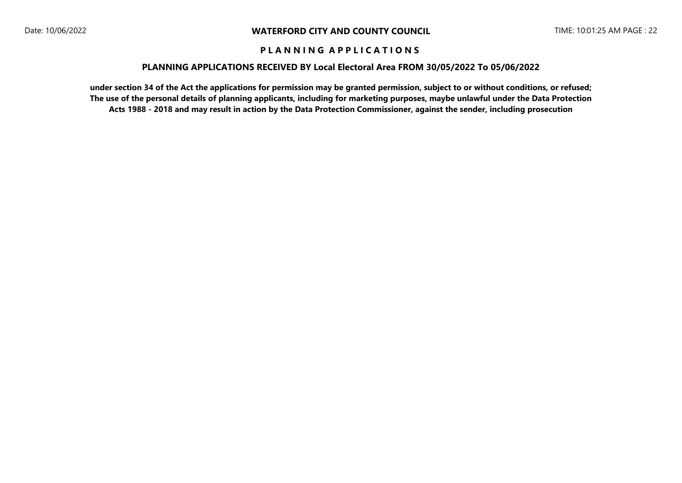### **PLANNING APPLICATIONS RECEIVED BY Local Electoral Area FROM 30/05/2022 To 05/06/2022**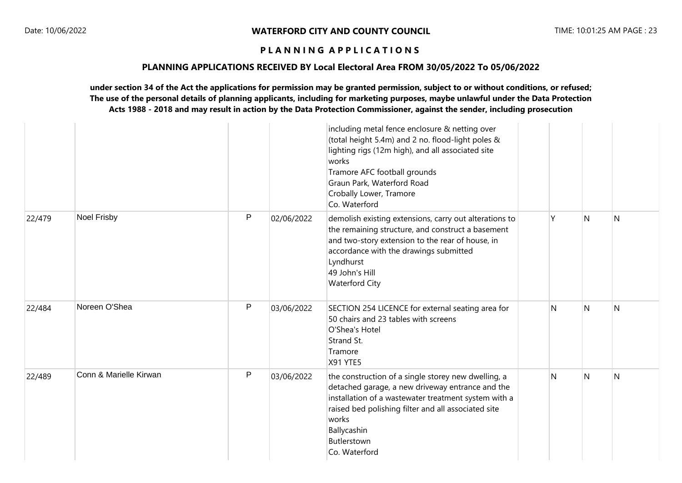### **PLANNING APPLICATIONS RECEIVED BY Local Electoral Area FROM 30/05/2022 To 05/06/2022**

|        |                        |              |            | including metal fence enclosure & netting over<br>(total height 5.4m) and 2 no. flood-light poles &<br>lighting rigs (12m high), and all associated site<br>works<br>Tramore AFC football grounds<br>Graun Park, Waterford Road<br>Crobally Lower, Tramore<br>Co. Waterford    |              |                |     |
|--------|------------------------|--------------|------------|--------------------------------------------------------------------------------------------------------------------------------------------------------------------------------------------------------------------------------------------------------------------------------|--------------|----------------|-----|
| 22/479 | <b>Noel Frisby</b>     | $\mathsf{P}$ | 02/06/2022 | demolish existing extensions, carry out alterations to<br>the remaining structure, and construct a basement<br>and two-story extension to the rear of house, in<br>accordance with the drawings submitted<br>Lyndhurst<br>49 John's Hill<br><b>Waterford City</b>              | γ            | $\overline{N}$ | N   |
| 22/484 | Noreen O'Shea          | P            | 03/06/2022 | SECTION 254 LICENCE for external seating area for<br>50 chairs and 23 tables with screens<br>O'Shea's Hotel<br>Strand St.<br>Tramore<br><b>X91 YTE5</b>                                                                                                                        | $\mathsf{N}$ | $\mathsf{N}$   | N   |
| 22/489 | Conn & Marielle Kirwan | P            | 03/06/2022 | the construction of a single storey new dwelling, a<br>detached garage, a new driveway entrance and the<br>installation of a wastewater treatment system with a<br>raised bed polishing filter and all associated site<br>works<br>Ballycashin<br>Butlerstown<br>Co. Waterford | N            | $\mathsf{N}$   | IN. |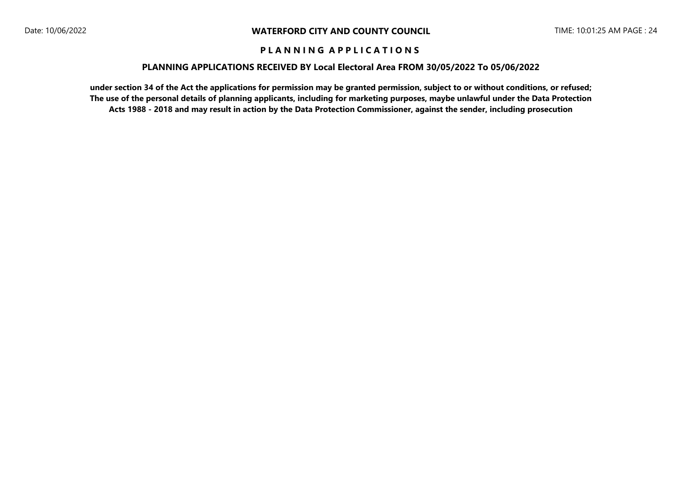### **PLANNING APPLICATIONS RECEIVED BY Local Electoral Area FROM 30/05/2022 To 05/06/2022**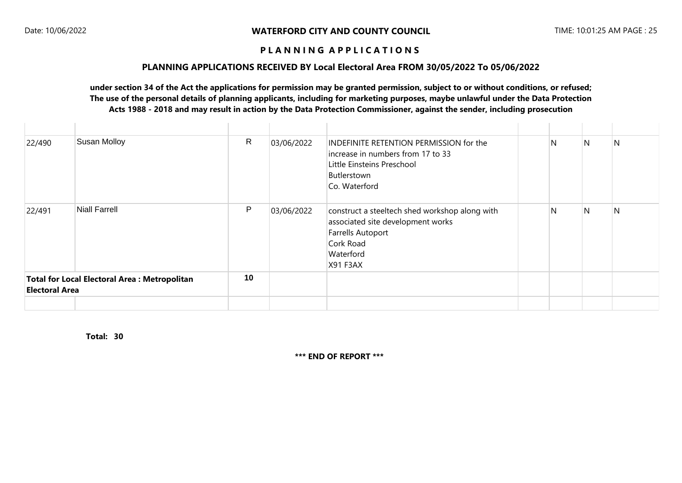### **PLANNING APPLICATIONS RECEIVED BY Local Electoral Area FROM 30/05/2022 To 05/06/2022**

## **under section 34 of the Act the applications for permission may be granted permission, subject to or without conditions, or refused; The use of the personal details of planning applicants, including for marketing purposes, maybe unlawful under the Data Protection Acts 1988 - 2018 and may result in action by the Data Protection Commissioner, against the sender, including prosecution**

| 22/490                                                                      | Susan Molloy         | $\mathsf{R}$ | 03/06/2022 | INDEFINITE RETENTION PERMISSION for the<br>increase in numbers from 17 to 33<br>Little Einsteins Preschool<br>Butlerstown<br>Co. Waterford            | $\mathsf{N}$ | $\mathsf{N}$ | N |
|-----------------------------------------------------------------------------|----------------------|--------------|------------|-------------------------------------------------------------------------------------------------------------------------------------------------------|--------------|--------------|---|
| 22/491                                                                      | <b>Niall Farrell</b> | P            | 03/06/2022 | construct a steeltech shed workshop along with<br>associated site development works<br><b>Farrells Autoport</b><br>Cork Road<br>Waterford<br>X91 F3AX | N            | N            | N |
| 10<br>Total for Local Electoral Area: Metropolitan<br><b>Electoral Area</b> |                      |              |            |                                                                                                                                                       |              |              |   |
|                                                                             |                      |              |            |                                                                                                                                                       |              |              |   |

**30 Total:** 

**\*\*\* END OF REPORT \*\*\***